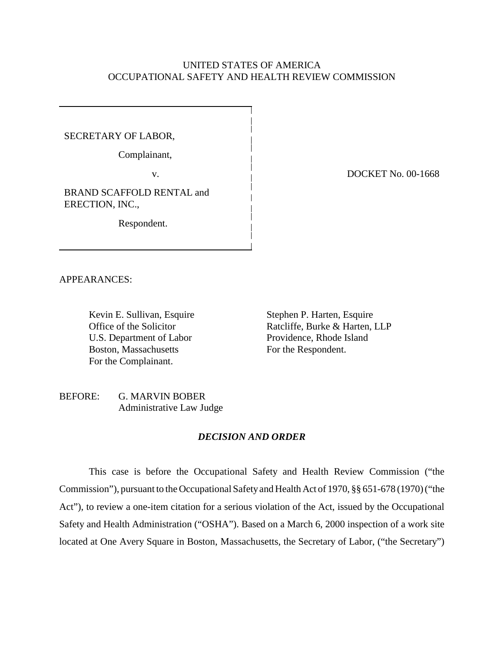# UNITED STATES OF AMERICA OCCUPATIONAL SAFETY AND HEALTH REVIEW COMMISSION

# SECRETARY OF LABOR,

Complainant,

v.

BRAND SCAFFOLD RENTAL and ERECTION, INC.,

Respondent.

DOCKET No. 00-1668

APPEARANCES:

Kevin E. Sullivan, Esquire Office of the Solicitor U.S. Department of Labor Boston, Massachusetts For the Complainant.

Stephen P. Harten, Esquire Ratcliffe, Burke & Harten, LLP Providence, Rhode Island For the Respondent.

## BEFORE: G. MARVIN BOBER Administrative Law Judge

### *DECISION AND ORDER*

This case is before the Occupational Safety and Health Review Commission ("the Commission"), pursuant to the Occupational Safety and Health Act of 1970, §§ 651-678 (1970) ("the Act"), to review a one-item citation for a serious violation of the Act, issued by the Occupational Safety and Health Administration ("OSHA"). Based on a March 6, 2000 inspection of a work site located at One Avery Square in Boston, Massachusetts, the Secretary of Labor, ("the Secretary")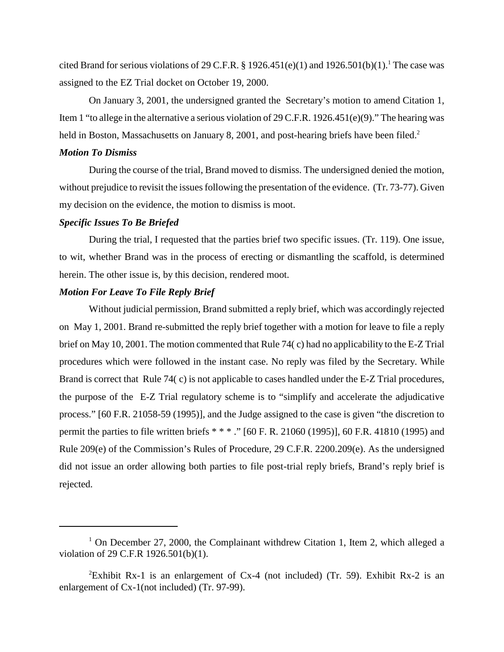cited Brand for serious violations of 29 C.F.R. § 1926.451(e)(1) and 1926.501(b)(1).<sup>1</sup> The case was assigned to the EZ Trial docket on October 19, 2000.

On January 3, 2001, the undersigned granted the Secretary's motion to amend Citation 1, Item 1 "to allege in the alternative a serious violation of 29 C.F.R. 1926.451(e)(9)." The hearing was held in Boston, Massachusetts on January 8, 2001, and post-hearing briefs have been filed.<sup>2</sup>

## *Motion To Dismiss*

During the course of the trial, Brand moved to dismiss. The undersigned denied the motion, without prejudice to revisit the issues following the presentation of the evidence. (Tr. 73-77). Given my decision on the evidence, the motion to dismiss is moot.

#### *Specific Issues To Be Briefed*

During the trial, I requested that the parties brief two specific issues. (Tr. 119). One issue, to wit, whether Brand was in the process of erecting or dismantling the scaffold, is determined herein. The other issue is, by this decision, rendered moot.

## *Motion For Leave To File Reply Brief*

Without judicial permission, Brand submitted a reply brief, which was accordingly rejected on May 1, 2001. Brand re-submitted the reply brief together with a motion for leave to file a reply brief on May 10, 2001. The motion commented that Rule 74( c) had no applicability to the E-Z Trial procedures which were followed in the instant case. No reply was filed by the Secretary. While Brand is correct that Rule 74( c) is not applicable to cases handled under the E-Z Trial procedures, the purpose of the E-Z Trial regulatory scheme is to "simplify and accelerate the adjudicative process." [60 F.R. 21058-59 (1995)], and the Judge assigned to the case is given "the discretion to permit the parties to file written briefs \* \* \* ." [60 F. R. 21060 (1995)], 60 F.R. 41810 (1995) and Rule 209(e) of the Commission's Rules of Procedure, 29 C.F.R. 2200.209(e). As the undersigned did not issue an order allowing both parties to file post-trial reply briefs, Brand's reply brief is rejected.

<sup>&</sup>lt;sup>1</sup> On December 27, 2000, the Complainant withdrew Citation 1, Item 2, which alleged a violation of 29 C.F.R 1926.501(b)(1).

<sup>&</sup>lt;sup>2</sup>Exhibit Rx-1 is an enlargement of Cx-4 (not included) (Tr. 59). Exhibit Rx-2 is an enlargement of Cx-1(not included) (Tr. 97-99).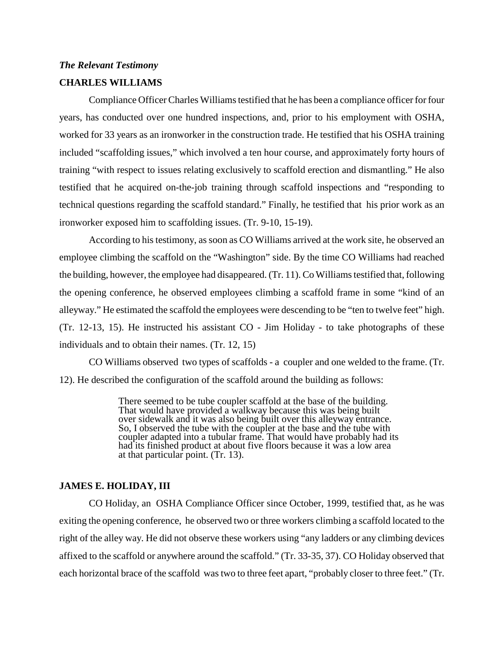# *The Relevant Testimony*

# **CHARLES WILLIAMS**

Compliance Officer Charles Williams testified that he has been a compliance officer for four years, has conducted over one hundred inspections, and, prior to his employment with OSHA, worked for 33 years as an ironworker in the construction trade. He testified that his OSHA training included "scaffolding issues," which involved a ten hour course, and approximately forty hours of training "with respect to issues relating exclusively to scaffold erection and dismantling." He also testified that he acquired on-the-job training through scaffold inspections and "responding to technical questions regarding the scaffold standard." Finally, he testified that his prior work as an ironworker exposed him to scaffolding issues. (Tr. 9-10, 15-19).

According to his testimony, as soon as CO Williams arrived at the work site, he observed an employee climbing the scaffold on the "Washington" side. By the time CO Williams had reached the building, however, the employee had disappeared. (Tr. 11). Co Williams testified that, following the opening conference, he observed employees climbing a scaffold frame in some "kind of an alleyway." He estimated the scaffold the employees were descending to be "ten to twelve feet" high. (Tr. 12-13, 15). He instructed his assistant CO - Jim Holiday - to take photographs of these individuals and to obtain their names. (Tr. 12, 15)

CO Williams observed two types of scaffolds - a coupler and one welded to the frame. (Tr. 12). He described the configuration of the scaffold around the building as follows:

> There seemed to be tube coupler scaffold at the base of the building. That would have provided a walkway because this was being built over sidewalk and it was also being built over this alleyway entrance. So, I observed the tube with the coupler at the base and the tube with coupler adapted into a tubular frame. That would have probably had its had its finished product at about five floors because it was a low area at that particular point. (Tr. 13).

# **JAMES E. HOLIDAY, III**

CO Holiday, an OSHA Compliance Officer since October, 1999, testified that, as he was exiting the opening conference, he observed two or three workers climbing a scaffold located to the right of the alley way. He did not observe these workers using "any ladders or any climbing devices affixed to the scaffold or anywhere around the scaffold." (Tr. 33-35, 37). CO Holiday observed that each horizontal brace of the scaffold was two to three feet apart, "probably closer to three feet." (Tr.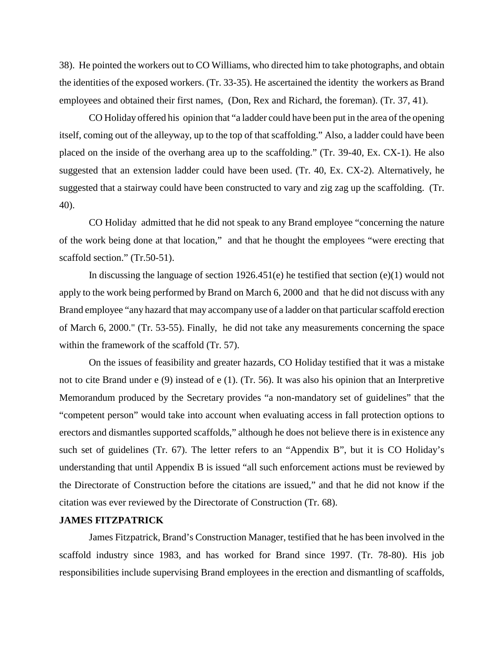38). He pointed the workers out to CO Williams, who directed him to take photographs, and obtain the identities of the exposed workers. (Tr. 33-35). He ascertained the identity the workers as Brand employees and obtained their first names, (Don, Rex and Richard, the foreman). (Tr. 37, 41).

CO Holiday offered his opinion that "a ladder could have been put in the area of the opening itself, coming out of the alleyway, up to the top of that scaffolding." Also, a ladder could have been placed on the inside of the overhang area up to the scaffolding." (Tr. 39-40, Ex. CX-1). He also suggested that an extension ladder could have been used. (Tr. 40, Ex. CX-2). Alternatively, he suggested that a stairway could have been constructed to vary and zig zag up the scaffolding. (Tr. 40).

CO Holiday admitted that he did not speak to any Brand employee "concerning the nature of the work being done at that location," and that he thought the employees "were erecting that scaffold section." (Tr.50-51).

In discussing the language of section 1926.451(e) he testified that section (e)(1) would not apply to the work being performed by Brand on March 6, 2000 and that he did not discuss with any Brand employee "any hazard that may accompany use of a ladder on that particular scaffold erection of March 6, 2000." (Tr. 53-55). Finally, he did not take any measurements concerning the space within the framework of the scaffold (Tr. 57).

On the issues of feasibility and greater hazards, CO Holiday testified that it was a mistake not to cite Brand under e (9) instead of e (1). (Tr. 56). It was also his opinion that an Interpretive Memorandum produced by the Secretary provides "a non-mandatory set of guidelines" that the "competent person" would take into account when evaluating access in fall protection options to erectors and dismantles supported scaffolds," although he does not believe there is in existence any such set of guidelines (Tr. 67). The letter refers to an "Appendix B", but it is CO Holiday's understanding that until Appendix B is issued "all such enforcement actions must be reviewed by the Directorate of Construction before the citations are issued," and that he did not know if the citation was ever reviewed by the Directorate of Construction (Tr. 68).

#### **JAMES FITZPATRICK**

James Fitzpatrick, Brand's Construction Manager, testified that he has been involved in the scaffold industry since 1983, and has worked for Brand since 1997. (Tr. 78-80). His job responsibilities include supervising Brand employees in the erection and dismantling of scaffolds,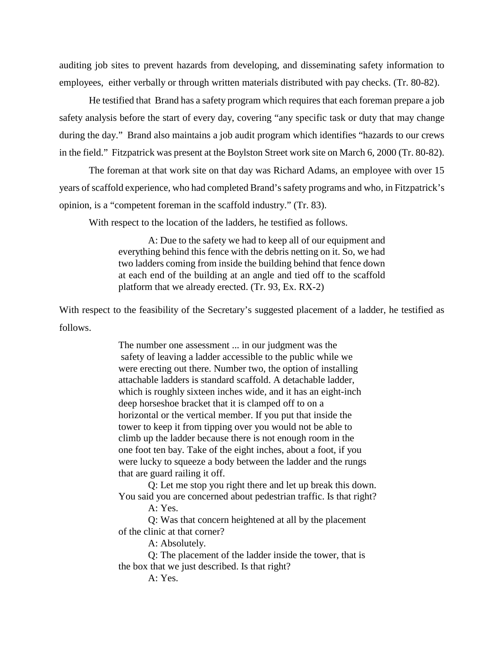auditing job sites to prevent hazards from developing, and disseminating safety information to employees, either verbally or through written materials distributed with pay checks. (Tr. 80-82).

He testified that Brand has a safety program which requires that each foreman prepare a job safety analysis before the start of every day, covering "any specific task or duty that may change during the day." Brand also maintains a job audit program which identifies "hazards to our crews in the field." Fitzpatrick was present at the Boylston Street work site on March 6, 2000 (Tr. 80-82).

The foreman at that work site on that day was Richard Adams, an employee with over 15 years of scaffold experience, who had completed Brand's safety programs and who, in Fitzpatrick's opinion, is a "competent foreman in the scaffold industry." (Tr. 83).

With respect to the location of the ladders, he testified as follows.

A: Due to the safety we had to keep all of our equipment and everything behind this fence with the debris netting on it. So, we had two ladders coming from inside the building behind that fence down at each end of the building at an angle and tied off to the scaffold platform that we already erected. (Tr. 93, Ex. RX-2)

With respect to the feasibility of the Secretary's suggested placement of a ladder, he testified as follows.

> The number one assessment ... in our judgment was the safety of leaving a ladder accessible to the public while we were erecting out there. Number two, the option of installing attachable ladders is standard scaffold. A detachable ladder, which is roughly sixteen inches wide, and it has an eight-inch deep horseshoe bracket that it is clamped off to on a horizontal or the vertical member. If you put that inside the tower to keep it from tipping over you would not be able to climb up the ladder because there is not enough room in the one foot ten bay. Take of the eight inches, about a foot, if you were lucky to squeeze a body between the ladder and the rungs that are guard railing it off.

Q: Let me stop you right there and let up break this down. You said you are concerned about pedestrian traffic. Is that right?

A: Yes.

Q: Was that concern heightened at all by the placement of the clinic at that corner?

A: Absolutely.

Q: The placement of the ladder inside the tower, that is the box that we just described. Is that right?

A: Yes.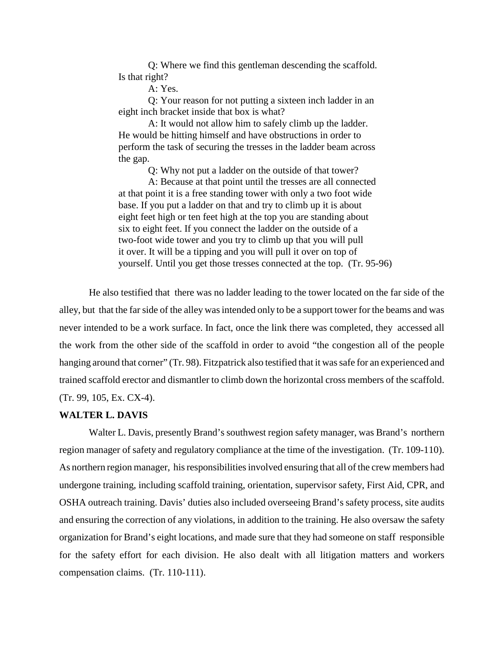Q: Where we find this gentleman descending the scaffold. Is that right?

A: Yes.

Q: Your reason for not putting a sixteen inch ladder in an eight inch bracket inside that box is what?

A: It would not allow him to safely climb up the ladder. He would be hitting himself and have obstructions in order to perform the task of securing the tresses in the ladder beam across the gap.

Q: Why not put a ladder on the outside of that tower?

A: Because at that point until the tresses are all connected at that point it is a free standing tower with only a two foot wide base. If you put a ladder on that and try to climb up it is about eight feet high or ten feet high at the top you are standing about six to eight feet. If you connect the ladder on the outside of a two-foot wide tower and you try to climb up that you will pull it over. It will be a tipping and you will pull it over on top of yourself. Until you get those tresses connected at the top. (Tr. 95-96)

He also testified that there was no ladder leading to the tower located on the far side of the alley, but that the far side of the alley was intended only to be a support tower for the beams and was never intended to be a work surface. In fact, once the link there was completed, they accessed all the work from the other side of the scaffold in order to avoid "the congestion all of the people hanging around that corner" (Tr. 98). Fitzpatrick also testified that it was safe for an experienced and trained scaffold erector and dismantler to climb down the horizontal cross members of the scaffold. (Tr. 99, 105, Ex. CX-4).

#### **WALTER L. DAVIS**

Walter L. Davis, presently Brand's southwest region safety manager, was Brand's northern region manager of safety and regulatory compliance at the time of the investigation. (Tr. 109-110). As northern region manager, his responsibilities involved ensuring that all of the crew members had undergone training, including scaffold training, orientation, supervisor safety, First Aid, CPR, and OSHA outreach training. Davis' duties also included overseeing Brand's safety process, site audits and ensuring the correction of any violations, in addition to the training. He also oversaw the safety organization for Brand's eight locations, and made sure that they had someone on staff responsible for the safety effort for each division. He also dealt with all litigation matters and workers compensation claims. (Tr. 110-111).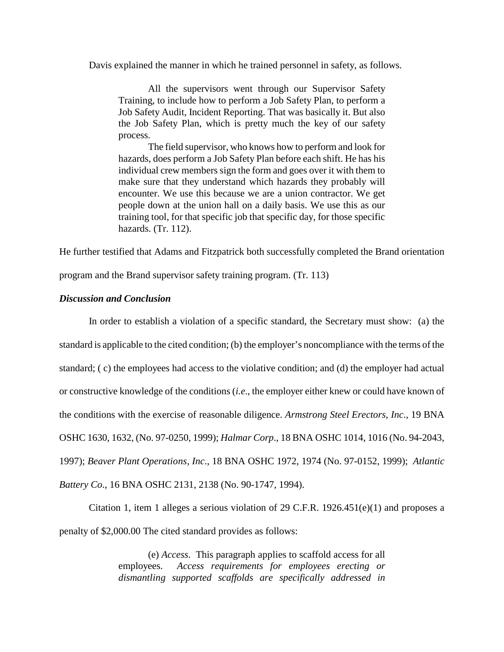Davis explained the manner in which he trained personnel in safety, as follows.

All the supervisors went through our Supervisor Safety Training, to include how to perform a Job Safety Plan, to perform a Job Safety Audit, Incident Reporting. That was basically it. But also the Job Safety Plan, which is pretty much the key of our safety process.

The field supervisor, who knows how to perform and look for hazards, does perform a Job Safety Plan before each shift. He has his individual crew members sign the form and goes over it with them to make sure that they understand which hazards they probably will encounter. We use this because we are a union contractor. We get people down at the union hall on a daily basis. We use this as our training tool, for that specific job that specific day, for those specific hazards. (Tr. 112).

He further testified that Adams and Fitzpatrick both successfully completed the Brand orientation

program and the Brand supervisor safety training program. (Tr. 113)

# *Discussion and Conclusion*

In order to establish a violation of a specific standard, the Secretary must show: (a) the standard is applicable to the cited condition; (b) the employer's noncompliance with the terms of the standard; ( c) the employees had access to the violative condition; and (d) the employer had actual or constructive knowledge of the conditions (*i.e*., the employer either knew or could have known of the conditions with the exercise of reasonable diligence. *Armstrong Steel Erectors, Inc*., 19 BNA OSHC 1630, 1632, (No. 97-0250, 1999); *Halmar Corp*., 18 BNA OSHC 1014, 1016 (No. 94-2043, 1997); *Beaver Plant Operations, Inc*., 18 BNA OSHC 1972, 1974 (No. 97-0152, 1999); *Atlantic Battery Co*., 16 BNA OSHC 2131, 2138 (No. 90-1747, 1994).

Citation 1, item 1 alleges a serious violation of 29 C.F.R.  $1926.451(e)(1)$  and proposes a penalty of \$2,000.00 The cited standard provides as follows:

> (e) *Access*. This paragraph applies to scaffold access for all employees. *Access requirements for employees erecting or dismantling supported scaffolds are specifically addressed in*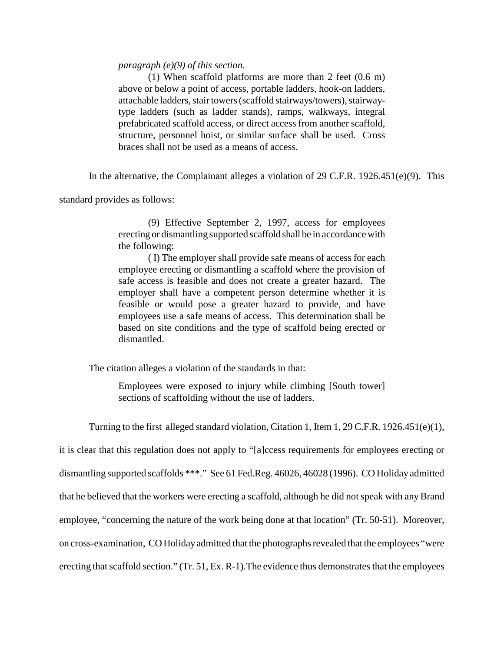### *paragraph (e)(9) of this section.*

(1) When scaffold platforms are more than 2 feet (0.6 m) above or below a point of access, portable ladders, hook-on ladders, attachable ladders, stair towers (scaffold stairways/towers), stairwaytype ladders (such as ladder stands), ramps, walkways, integral prefabricated scaffold access, or direct access from another scaffold, structure, personnel hoist, or similar surface shall be used. Cross braces shall not be used as a means of access.

In the alternative, the Complainant alleges a violation of 29 C.F.R. 1926.451(e)(9). This

standard provides as follows:

(9) Effective September 2, 1997, access for employees erecting or dismantling supported scaffold shall be in accordance with the following:

( I) The employer shall provide safe means of access for each employee erecting or dismantling a scaffold where the provision of safe access is feasible and does not create a greater hazard. The employer shall have a competent person determine whether it is feasible or would pose a greater hazard to provide, and have employees use a safe means of access. This determination shall be based on site conditions and the type of scaffold being erected or dismantled.

The citation alleges a violation of the standards in that:

Employees were exposed to injury while climbing [South tower] sections of scaffolding without the use of ladders.

Turning to the first alleged standard violation, Citation 1, Item 1, 29 C.F.R. 1926.451(e)(1),

it is clear that this regulation does not apply to "[a]ccess requirements for employees erecting or dismantling supported scaffolds \*\*\*." See 61 Fed.Reg. 46026, 46028 (1996). CO Holiday admitted that he believed that the workers were erecting a scaffold, although he did not speak with any Brand employee, "concerning the nature of the work being done at that location" (Tr. 50-51). Moreover, on cross-examination, CO Holiday admitted that the photographs revealed that the employees "were erecting that scaffold section." (Tr. 51, Ex. R-1).The evidence thus demonstrates that the employees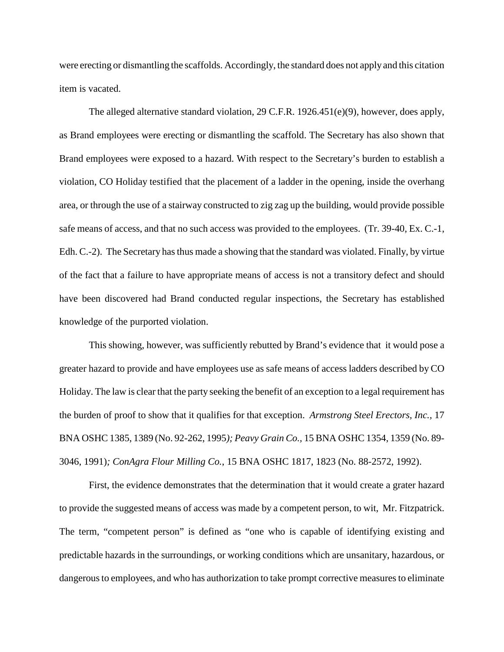were erecting or dismantling the scaffolds. Accordingly, the standard does not apply and this citation item is vacated.

The alleged alternative standard violation, 29 C.F.R. 1926.451(e)(9), however, does apply, as Brand employees were erecting or dismantling the scaffold. The Secretary has also shown that Brand employees were exposed to a hazard. With respect to the Secretary's burden to establish a violation, CO Holiday testified that the placement of a ladder in the opening, inside the overhang area, or through the use of a stairway constructed to zig zag up the building, would provide possible safe means of access, and that no such access was provided to the employees. (Tr. 39-40, Ex. C.-1, Edh. C.-2). The Secretary has thus made a showing that the standard was violated. Finally, by virtue of the fact that a failure to have appropriate means of access is not a transitory defect and should have been discovered had Brand conducted regular inspections, the Secretary has established knowledge of the purported violation.

This showing, however, was sufficiently rebutted by Brand's evidence that it would pose a greater hazard to provide and have employees use as safe means of access ladders described by CO Holiday. The law is clear that the party seeking the benefit of an exception to a legal requirement has the burden of proof to show that it qualifies for that exception. *Armstrong Steel Erectors, Inc.,* 17 BNA OSHC 1385, 1389 (No. 92-262, 1995*); Peavy Grain Co.,* 15 BNA OSHC 1354, 1359 (No. 89- 3046, 1991)*; ConAgra Flour Milling Co.*, 15 BNA OSHC 1817, 1823 (No. 88-2572, 1992).

First, the evidence demonstrates that the determination that it would create a grater hazard to provide the suggested means of access was made by a competent person, to wit, Mr. Fitzpatrick. The term, "competent person" is defined as "one who is capable of identifying existing and predictable hazards in the surroundings, or working conditions which are unsanitary, hazardous, or dangerous to employees, and who has authorization to take prompt corrective measures to eliminate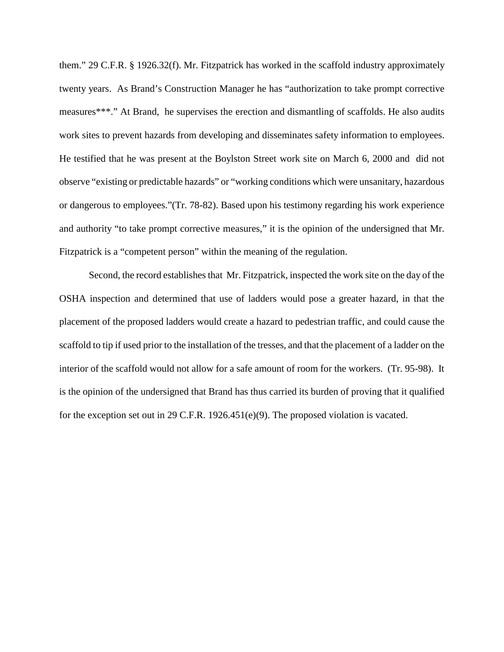them." 29 C.F.R. § 1926.32(f). Mr. Fitzpatrick has worked in the scaffold industry approximately twenty years. As Brand's Construction Manager he has "authorization to take prompt corrective measures\*\*\*." At Brand, he supervises the erection and dismantling of scaffolds. He also audits work sites to prevent hazards from developing and disseminates safety information to employees. He testified that he was present at the Boylston Street work site on March 6, 2000 and did not observe "existing or predictable hazards" or "working conditions which were unsanitary, hazardous or dangerous to employees."(Tr. 78-82). Based upon his testimony regarding his work experience and authority "to take prompt corrective measures," it is the opinion of the undersigned that Mr. Fitzpatrick is a "competent person" within the meaning of the regulation.

Second, the record establishes that Mr. Fitzpatrick, inspected the work site on the day of the OSHA inspection and determined that use of ladders would pose a greater hazard, in that the placement of the proposed ladders would create a hazard to pedestrian traffic, and could cause the scaffold to tip if used prior to the installation of the tresses, and that the placement of a ladder on the interior of the scaffold would not allow for a safe amount of room for the workers. (Tr. 95-98). It is the opinion of the undersigned that Brand has thus carried its burden of proving that it qualified for the exception set out in 29 C.F.R. 1926.451(e)(9). The proposed violation is vacated.